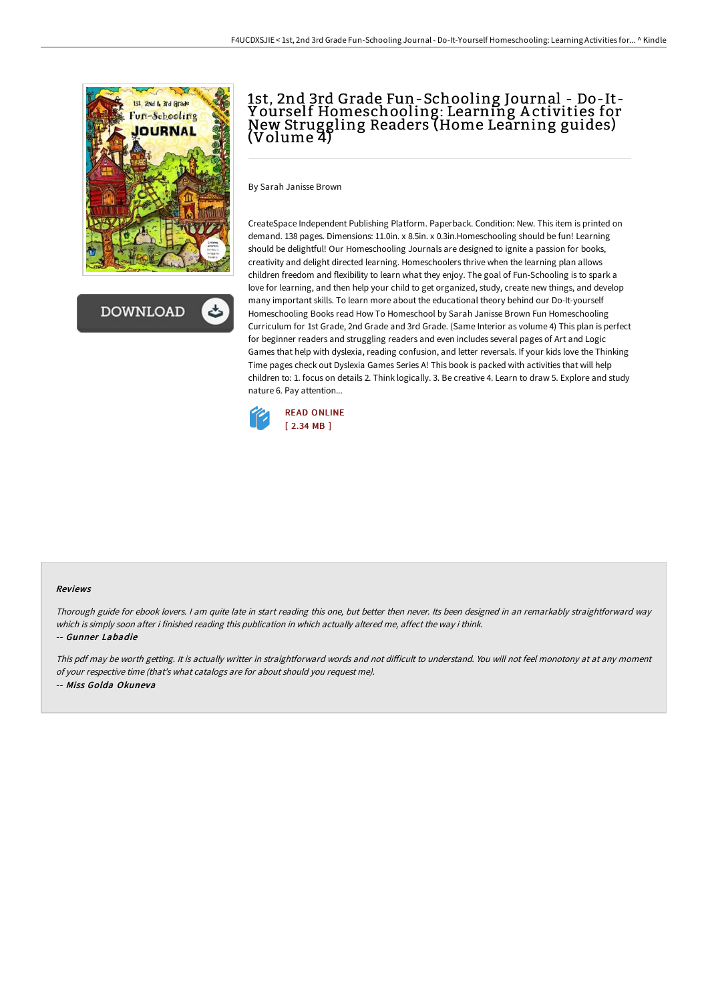

**DOWNLOAD** 

# 1st, 2nd 3rd Grade Fun-Schooling Journal - Do-It-Y ourself Homeschooling: Learning A ctivities for New Struggling Readers (Home Learning guides) (Volume 4)

By Sarah Janisse Brown

CreateSpace Independent Publishing Platform. Paperback. Condition: New. This item is printed on demand. 138 pages. Dimensions: 11.0in. x 8.5in. x 0.3in.Homeschooling should be fun! Learning should be delightful! Our Homeschooling Journals are designed to ignite a passion for books, creativity and delight directed learning. Homeschoolers thrive when the learning plan allows children freedom and flexibility to learn what they enjoy. The goal of Fun-Schooling is to spark a love for learning, and then help your child to get organized, study, create new things, and develop many important skills. To learn more about the educational theory behind our Do-It-yourself Homeschooling Books read How To Homeschool by Sarah Janisse Brown Fun Homeschooling Curriculum for 1st Grade, 2nd Grade and 3rd Grade. (Same Interior as volume 4) This plan is perfect for beginner readers and struggling readers and even includes several pages of Art and Logic Games that help with dyslexia, reading confusion, and letter reversals. If your kids love the Thinking Time pages check out Dyslexia Games Series A! This book is packed with activities that will help children to: 1. focus on details 2. Think logically. 3. Be creative 4. Learn to draw 5. Explore and study nature 6. Pay attention...



#### Reviews

Thorough guide for ebook lovers. <sup>I</sup> am quite late in start reading this one, but better then never. Its been designed in an remarkably straightforward way which is simply soon after i finished reading this publication in which actually altered me, affect the way i think.

#### -- Gunner Labadie

This pdf may be worth getting. It is actually writter in straightforward words and not difficult to understand. You will not feel monotony at at any moment of your respective time (that's what catalogs are for about should you request me). -- Miss Golda Okuneva